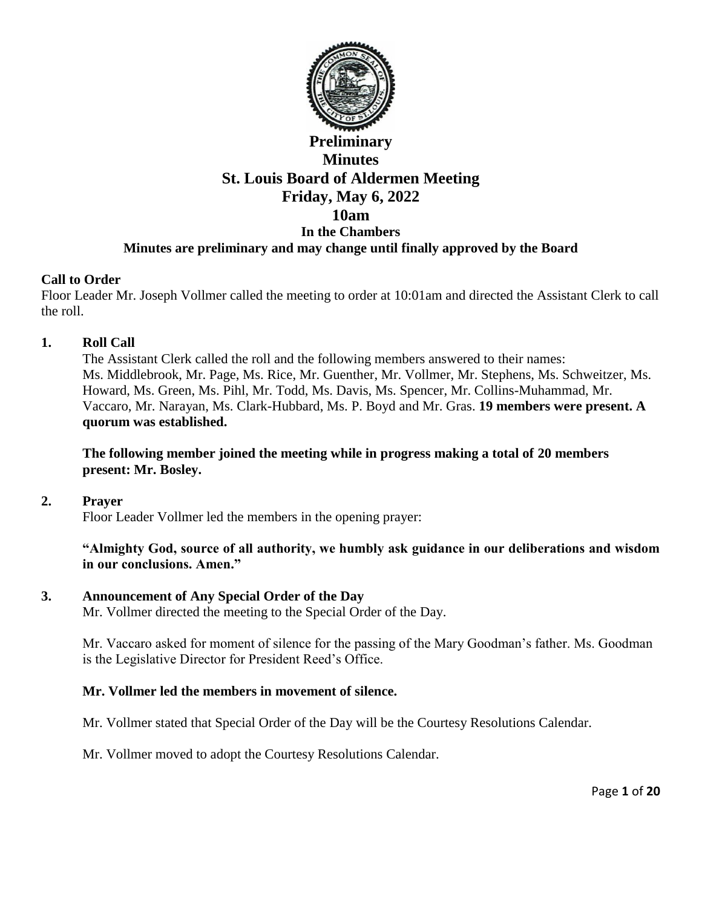

# **Preliminary Minutes St. Louis Board of Aldermen Meeting Friday, May 6, 2022 10am In the Chambers Minutes are preliminary and may change until finally approved by the Board**

## **Call to Order**

Floor Leader Mr. Joseph Vollmer called the meeting to order at 10:01am and directed the Assistant Clerk to call the roll.

## **1. Roll Call**

The Assistant Clerk called the roll and the following members answered to their names: Ms. Middlebrook, Mr. Page, Ms. Rice, Mr. Guenther, Mr. Vollmer, Mr. Stephens, Ms. Schweitzer, Ms. Howard, Ms. Green, Ms. Pihl, Mr. Todd, Ms. Davis, Ms. Spencer, Mr. Collins-Muhammad, Mr. Vaccaro, Mr. Narayan, Ms. Clark-Hubbard, Ms. P. Boyd and Mr. Gras. **19 members were present. A quorum was established.** 

## **The following member joined the meeting while in progress making a total of 20 members present: Mr. Bosley.**

### **2. Prayer**

Floor Leader Vollmer led the members in the opening prayer:

**"Almighty God, source of all authority, we humbly ask guidance in our deliberations and wisdom in our conclusions. Amen."**

### **3. Announcement of Any Special Order of the Day**

Mr. Vollmer directed the meeting to the Special Order of the Day.

Mr. Vaccaro asked for moment of silence for the passing of the Mary Goodman's father. Ms. Goodman is the Legislative Director for President Reed's Office.

## **Mr. Vollmer led the members in movement of silence.**

Mr. Vollmer stated that Special Order of the Day will be the Courtesy Resolutions Calendar.

Mr. Vollmer moved to adopt the Courtesy Resolutions Calendar.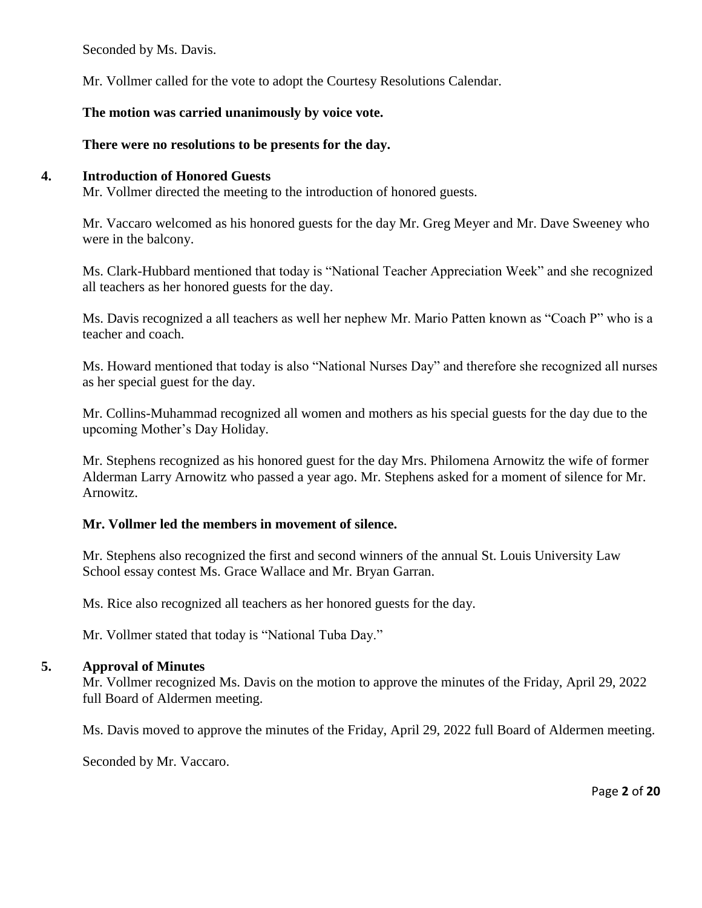Seconded by Ms. Davis.

Mr. Vollmer called for the vote to adopt the Courtesy Resolutions Calendar.

# **The motion was carried unanimously by voice vote.**

# **There were no resolutions to be presents for the day.**

## **4. Introduction of Honored Guests**

Mr. Vollmer directed the meeting to the introduction of honored guests.

Mr. Vaccaro welcomed as his honored guests for the day Mr. Greg Meyer and Mr. Dave Sweeney who were in the balcony.

Ms. Clark-Hubbard mentioned that today is "National Teacher Appreciation Week" and she recognized all teachers as her honored guests for the day.

Ms. Davis recognized a all teachers as well her nephew Mr. Mario Patten known as "Coach P" who is a teacher and coach.

Ms. Howard mentioned that today is also "National Nurses Day" and therefore she recognized all nurses as her special guest for the day.

Mr. Collins-Muhammad recognized all women and mothers as his special guests for the day due to the upcoming Mother's Day Holiday.

Mr. Stephens recognized as his honored guest for the day Mrs. Philomena Arnowitz the wife of former Alderman Larry Arnowitz who passed a year ago. Mr. Stephens asked for a moment of silence for Mr. Arnowitz.

## **Mr. Vollmer led the members in movement of silence.**

Mr. Stephens also recognized the first and second winners of the annual St. Louis University Law School essay contest Ms. Grace Wallace and Mr. Bryan Garran.

Ms. Rice also recognized all teachers as her honored guests for the day.

Mr. Vollmer stated that today is "National Tuba Day."

## **5. Approval of Minutes**

Mr. Vollmer recognized Ms. Davis on the motion to approve the minutes of the Friday, April 29, 2022 full Board of Aldermen meeting.

Ms. Davis moved to approve the minutes of the Friday, April 29, 2022 full Board of Aldermen meeting.

Seconded by Mr. Vaccaro.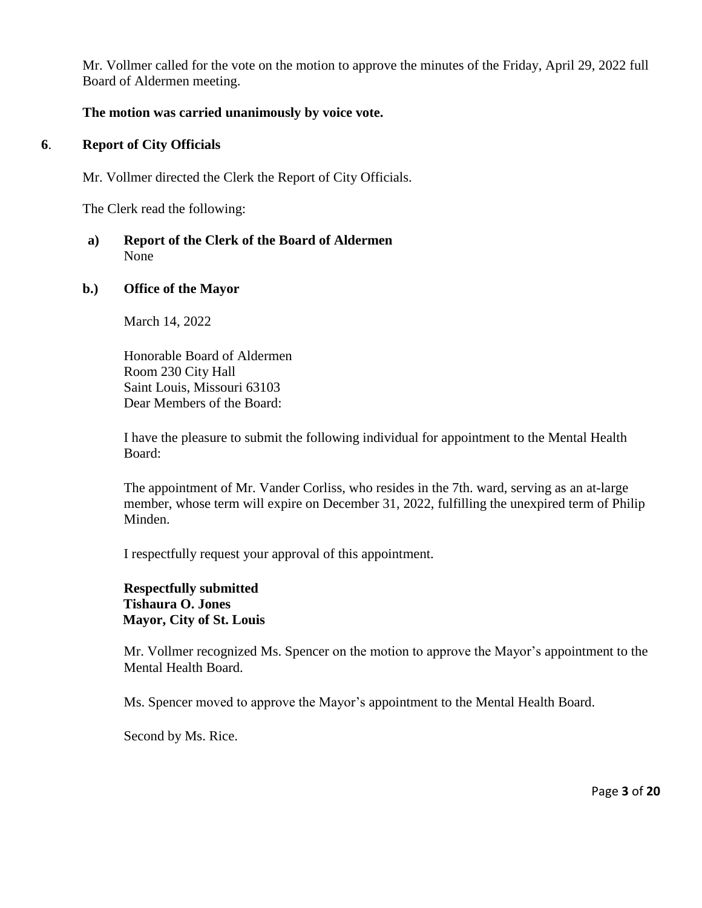Mr. Vollmer called for the vote on the motion to approve the minutes of the Friday, April 29, 2022 full Board of Aldermen meeting.

## **The motion was carried unanimously by voice vote.**

### **6**. **Report of City Officials**

Mr. Vollmer directed the Clerk the Report of City Officials.

The Clerk read the following:

## **a) Report of the Clerk of the Board of Aldermen** None

#### **b.) Office of the Mayor**

March 14, 2022

Honorable Board of Aldermen Room 230 City Hall Saint Louis, Missouri 63103 Dear Members of the Board:

I have the pleasure to submit the following individual for appointment to the Mental Health Board:

The appointment of Mr. Vander Corliss, who resides in the 7th. ward, serving as an at-large member, whose term will expire on December 31, 2022, fulfilling the unexpired term of Philip Minden.

I respectfully request your approval of this appointment.

#### **Respectfully submitted Tishaura O. Jones Mayor, City of St. Louis**

Mr. Vollmer recognized Ms. Spencer on the motion to approve the Mayor's appointment to the Mental Health Board.

Ms. Spencer moved to approve the Mayor's appointment to the Mental Health Board.

Second by Ms. Rice.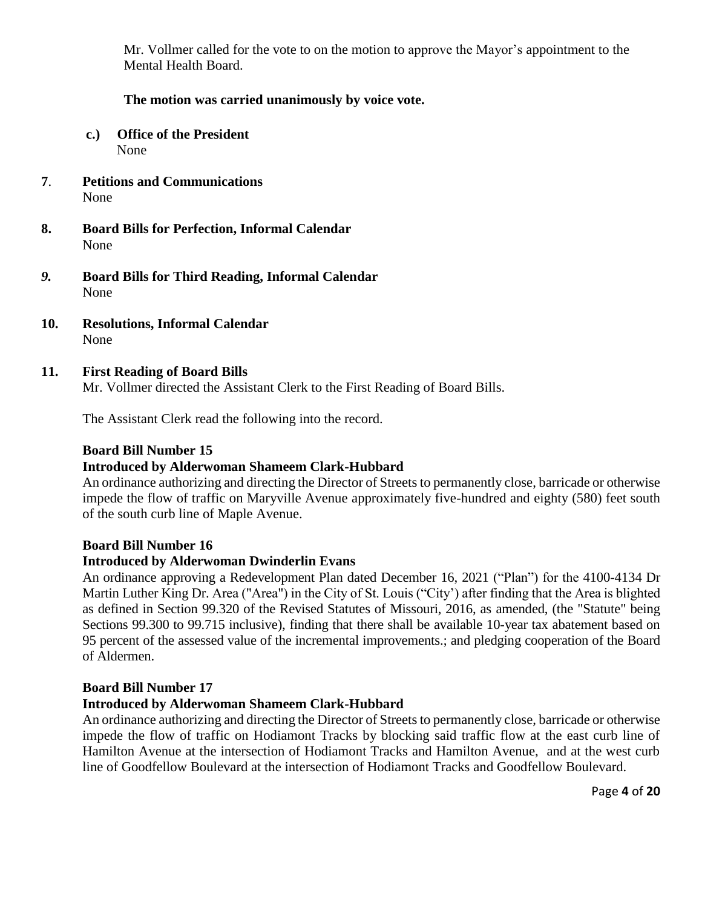Mr. Vollmer called for the vote to on the motion to approve the Mayor's appointment to the Mental Health Board.

## **The motion was carried unanimously by voice vote.**

- **c.) Office of the President** None
- **7**. **Petitions and Communications** None
- **8. Board Bills for Perfection, Informal Calendar**  None
- *9.* **Board Bills for Third Reading, Informal Calendar** None
- **10. Resolutions, Informal Calendar** None

## **11. First Reading of Board Bills**

Mr. Vollmer directed the Assistant Clerk to the First Reading of Board Bills.

The Assistant Clerk read the following into the record.

## **Board Bill Number 15**

### **Introduced by Alderwoman Shameem Clark-Hubbard**

An ordinance authorizing and directing the Director of Streets to permanently close, barricade or otherwise impede the flow of traffic on Maryville Avenue approximately five-hundred and eighty (580) feet south of the south curb line of Maple Avenue.

### **Board Bill Number 16**

### **Introduced by Alderwoman Dwinderlin Evans**

An ordinance approving a Redevelopment Plan dated December 16, 2021 ("Plan") for the 4100-4134 Dr Martin Luther King Dr. Area ("Area") in the City of St. Louis ("City') after finding that the Area is blighted as defined in Section 99.320 of the Revised Statutes of Missouri, 2016, as amended, (the "Statute" being Sections 99.300 to 99.715 inclusive), finding that there shall be available 10-year tax abatement based on 95 percent of the assessed value of the incremental improvements.; and pledging cooperation of the Board of Aldermen.

### **Board Bill Number 17**

### **Introduced by Alderwoman Shameem Clark-Hubbard**

An ordinance authorizing and directing the Director of Streets to permanently close, barricade or otherwise impede the flow of traffic on Hodiamont Tracks by blocking said traffic flow at the east curb line of Hamilton Avenue at the intersection of Hodiamont Tracks and Hamilton Avenue, and at the west curb line of Goodfellow Boulevard at the intersection of Hodiamont Tracks and Goodfellow Boulevard.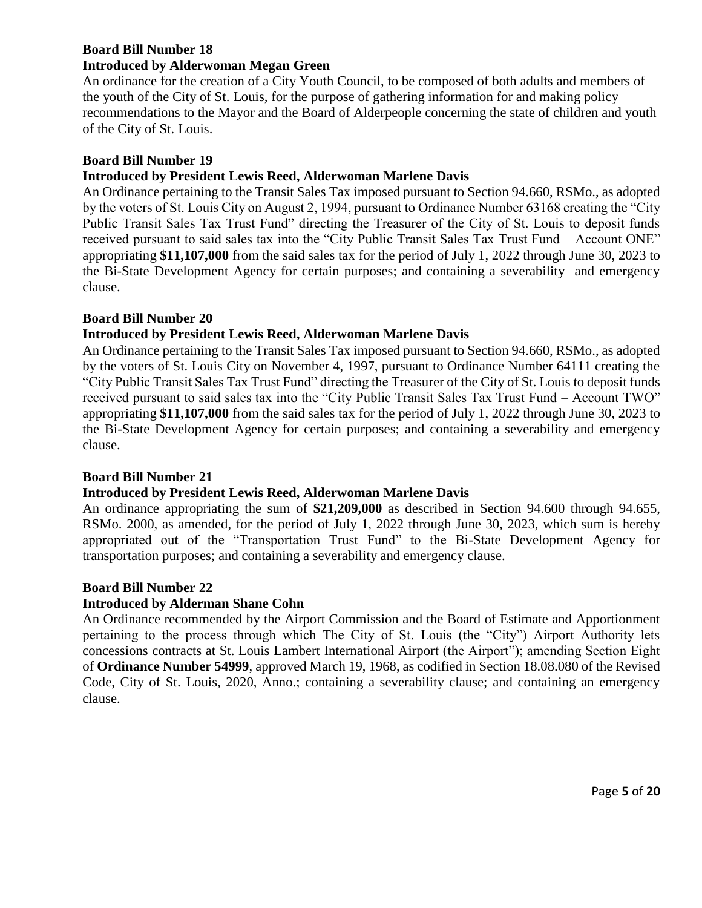# **Board Bill Number 18 Introduced by Alderwoman Megan Green**

An ordinance for the creation of a City Youth Council, to be composed of both adults and members of the youth of the City of St. Louis, for the purpose of gathering information for and making policy recommendations to the Mayor and the Board of Alderpeople concerning the state of children and youth of the City of St. Louis.

## **Board Bill Number 19**

## **Introduced by President Lewis Reed, Alderwoman Marlene Davis**

An Ordinance pertaining to the Transit Sales Tax imposed pursuant to Section 94.660, RSMo., as adopted by the voters of St. Louis City on August 2, 1994, pursuant to Ordinance Number 63168 creating the "City Public Transit Sales Tax Trust Fund" directing the Treasurer of the City of St. Louis to deposit funds received pursuant to said sales tax into the "City Public Transit Sales Tax Trust Fund – Account ONE" appropriating **\$11,107,000** from the said sales tax for the period of July 1, 2022 through June 30, 2023 to the Bi-State Development Agency for certain purposes; and containing a severability and emergency clause.

## **Board Bill Number 20**

## **Introduced by President Lewis Reed, Alderwoman Marlene Davis**

An Ordinance pertaining to the Transit Sales Tax imposed pursuant to Section 94.660, RSMo., as adopted by the voters of St. Louis City on November 4, 1997, pursuant to Ordinance Number 64111 creating the "City Public Transit Sales Tax Trust Fund" directing the Treasurer of the City of St. Louis to deposit funds received pursuant to said sales tax into the "City Public Transit Sales Tax Trust Fund – Account TWO" appropriating **\$11,107,000** from the said sales tax for the period of July 1, 2022 through June 30, 2023 to the Bi-State Development Agency for certain purposes; and containing a severability and emergency clause.

### **Board Bill Number 21**

## **Introduced by President Lewis Reed, Alderwoman Marlene Davis**

An ordinance appropriating the sum of **\$21,209,000** as described in Section 94.600 through 94.655, RSMo. 2000, as amended, for the period of July 1, 2022 through June 30, 2023, which sum is hereby appropriated out of the "Transportation Trust Fund" to the Bi-State Development Agency for transportation purposes; and containing a severability and emergency clause.

### **Board Bill Number 22**

### **Introduced by Alderman Shane Cohn**

An Ordinance recommended by the Airport Commission and the Board of Estimate and Apportionment pertaining to the process through which The City of St. Louis (the "City") Airport Authority lets concessions contracts at St. Louis Lambert International Airport (the Airport"); amending Section Eight of **Ordinance Number 54999**, approved March 19, 1968, as codified in Section 18.08.080 of the Revised Code, City of St. Louis, 2020, Anno.; containing a severability clause; and containing an emergency clause.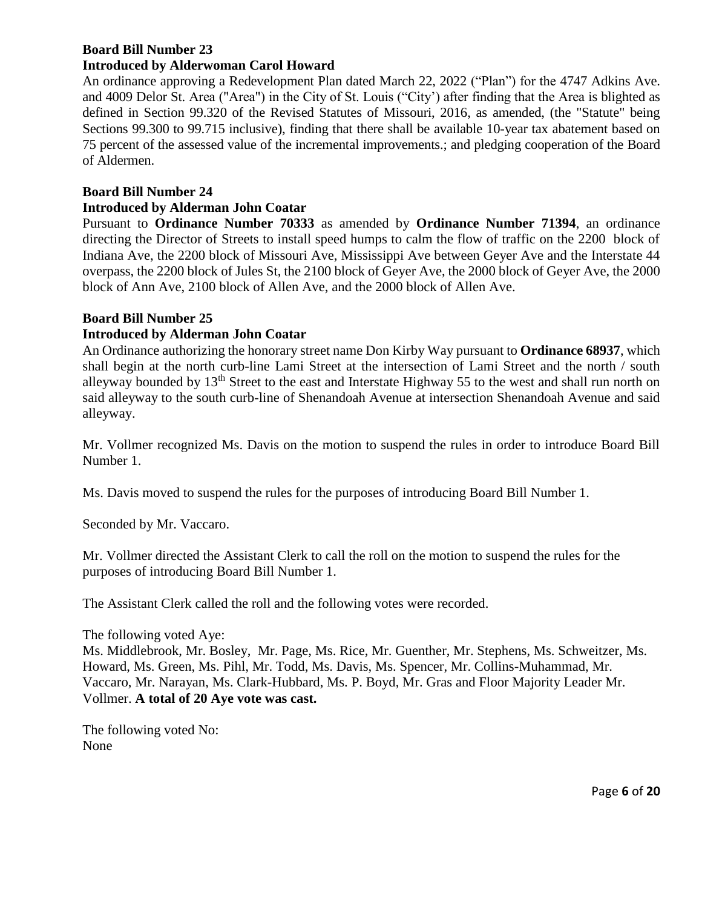#### **Board Bill Number 23 Introduced by Alderwoman Carol Howard**

An ordinance approving a Redevelopment Plan dated March 22, 2022 ("Plan") for the 4747 Adkins Ave. and 4009 Delor St. Area ("Area") in the City of St. Louis ("City') after finding that the Area is blighted as defined in Section 99.320 of the Revised Statutes of Missouri, 2016, as amended, (the "Statute" being Sections 99.300 to 99.715 inclusive), finding that there shall be available 10-year tax abatement based on 75 percent of the assessed value of the incremental improvements.; and pledging cooperation of the Board of Aldermen.

## **Board Bill Number 24**

## **Introduced by Alderman John Coatar**

Pursuant to **Ordinance Number 70333** as amended by **Ordinance Number 71394**, an ordinance directing the Director of Streets to install speed humps to calm the flow of traffic on the 2200 block of Indiana Ave, the 2200 block of Missouri Ave, Mississippi Ave between Geyer Ave and the Interstate 44 overpass, the 2200 block of Jules St, the 2100 block of Geyer Ave, the 2000 block of Geyer Ave, the 2000 block of Ann Ave, 2100 block of Allen Ave, and the 2000 block of Allen Ave.

## **Board Bill Number 25**

## **Introduced by Alderman John Coatar**

An Ordinance authorizing the honorary street name Don Kirby Way pursuant to **Ordinance 68937**, which shall begin at the north curb-line Lami Street at the intersection of Lami Street and the north / south alleyway bounded by 13th Street to the east and Interstate Highway 55 to the west and shall run north on said alleyway to the south curb-line of Shenandoah Avenue at intersection Shenandoah Avenue and said alleyway.

Mr. Vollmer recognized Ms. Davis on the motion to suspend the rules in order to introduce Board Bill Number 1.

Ms. Davis moved to suspend the rules for the purposes of introducing Board Bill Number 1.

Seconded by Mr. Vaccaro.

Mr. Vollmer directed the Assistant Clerk to call the roll on the motion to suspend the rules for the purposes of introducing Board Bill Number 1.

The Assistant Clerk called the roll and the following votes were recorded.

The following voted Aye:

Ms. Middlebrook, Mr. Bosley, Mr. Page, Ms. Rice, Mr. Guenther, Mr. Stephens, Ms. Schweitzer, Ms. Howard, Ms. Green, Ms. Pihl, Mr. Todd, Ms. Davis, Ms. Spencer, Mr. Collins-Muhammad, Mr. Vaccaro, Mr. Narayan, Ms. Clark-Hubbard, Ms. P. Boyd, Mr. Gras and Floor Majority Leader Mr. Vollmer. **A total of 20 Aye vote was cast.** 

The following voted No: None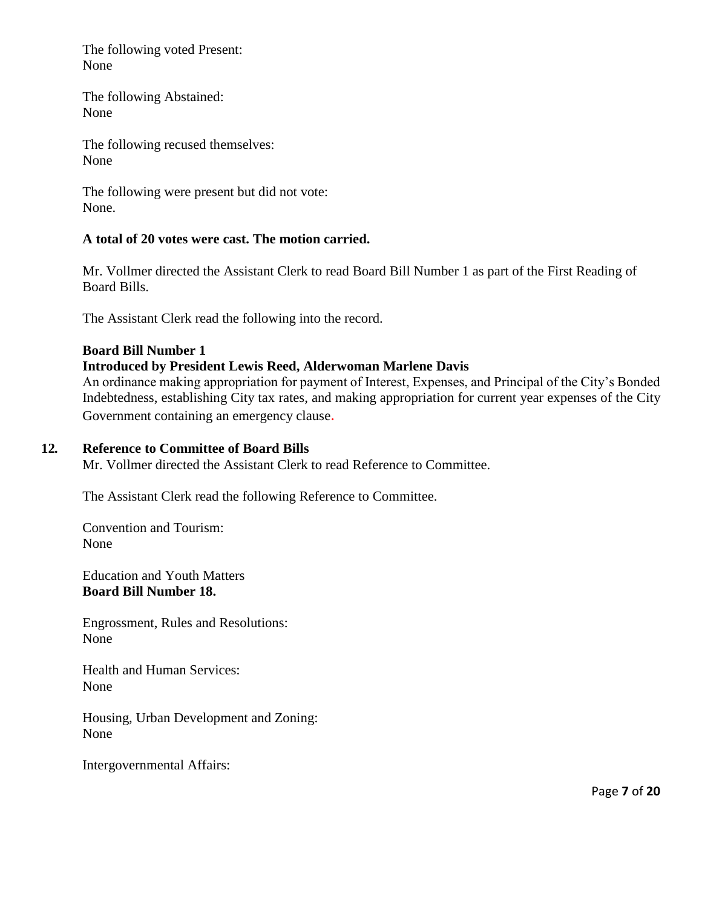The following voted Present: None

The following Abstained: None

The following recused themselves: None

The following were present but did not vote: None.

## **A total of 20 votes were cast. The motion carried.**

Mr. Vollmer directed the Assistant Clerk to read Board Bill Number 1 as part of the First Reading of Board Bills.

The Assistant Clerk read the following into the record.

## **Board Bill Number 1**

## **Introduced by President Lewis Reed, Alderwoman Marlene Davis**

An ordinance making appropriation for payment of Interest, Expenses, and Principal of the City's Bonded Indebtedness, establishing City tax rates, and making appropriation for current year expenses of the City Government containing an emergency clause.

## **12***.* **Reference to Committee of Board Bills**

Mr. Vollmer directed the Assistant Clerk to read Reference to Committee.

The Assistant Clerk read the following Reference to Committee.

Convention and Tourism: None

Education and Youth Matters **Board Bill Number 18.** 

Engrossment, Rules and Resolutions: None

Health and Human Services: None

Housing, Urban Development and Zoning: None

Intergovernmental Affairs: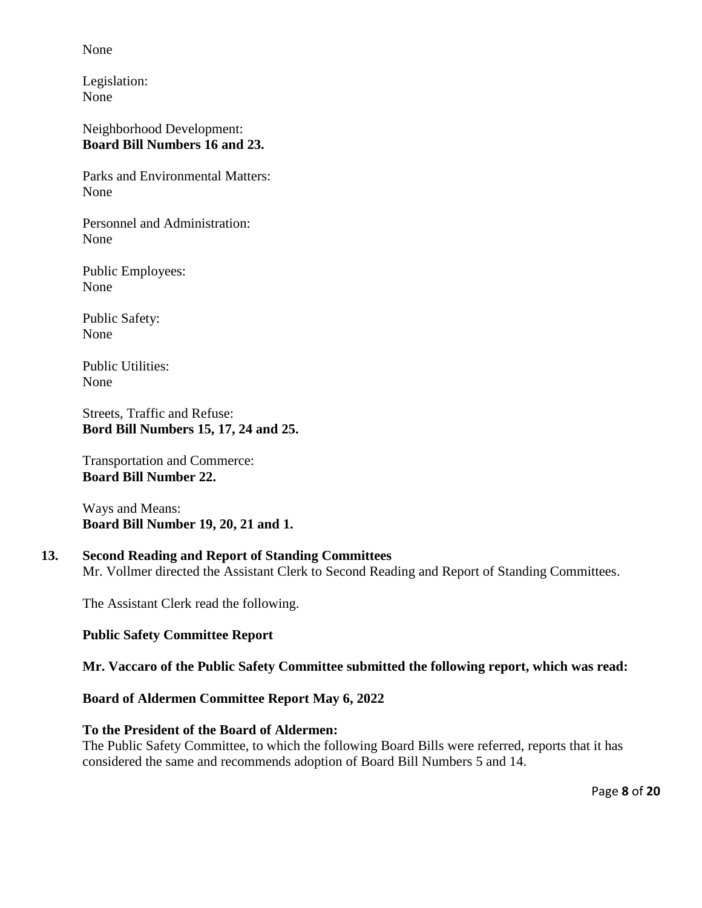None

Legislation: None

Neighborhood Development: **Board Bill Numbers 16 and 23.** 

Parks and Environmental Matters: None

Personnel and Administration: None

Public Employees: None

Public Safety: None

Public Utilities: None

Streets, Traffic and Refuse: **Bord Bill Numbers 15, 17, 24 and 25.** 

Transportation and Commerce: **Board Bill Number 22.** 

Ways and Means: **Board Bill Number 19, 20, 21 and 1.** 

# **13. Second Reading and Report of Standing Committees**

Mr. Vollmer directed the Assistant Clerk to Second Reading and Report of Standing Committees.

The Assistant Clerk read the following.

### **Public Safety Committee Report**

**Mr. Vaccaro of the Public Safety Committee submitted the following report, which was read:**

**Board of Aldermen Committee Report May 6, 2022**

### **To the President of the Board of Aldermen:**

The Public Safety Committee, to which the following Board Bills were referred, reports that it has considered the same and recommends adoption of Board Bill Numbers 5 and 14.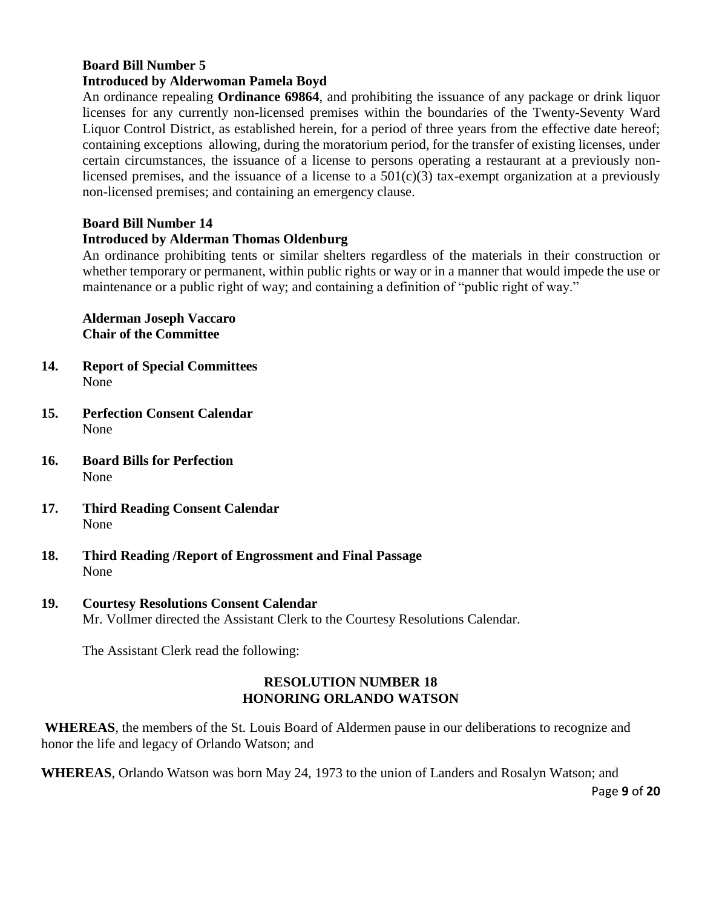### **Board Bill Number 5 Introduced by Alderwoman Pamela Boyd**

An ordinance repealing **Ordinance 69864**, and prohibiting the issuance of any package or drink liquor licenses for any currently non-licensed premises within the boundaries of the Twenty-Seventy Ward Liquor Control District, as established herein, for a period of three years from the effective date hereof; containing exceptions allowing, during the moratorium period, for the transfer of existing licenses, under certain circumstances, the issuance of a license to persons operating a restaurant at a previously nonlicensed premises, and the issuance of a license to a  $501(c)(3)$  tax-exempt organization at a previously non-licensed premises; and containing an emergency clause.

# **Board Bill Number 14**

# **Introduced by Alderman Thomas Oldenburg**

An ordinance prohibiting tents or similar shelters regardless of the materials in their construction or whether temporary or permanent, within public rights or way or in a manner that would impede the use or maintenance or a public right of way; and containing a definition of "public right of way."

**Alderman Joseph Vaccaro Chair of the Committee** 

- **14. Report of Special Committees** None
- **15. Perfection Consent Calendar**  None
- **16. Board Bills for Perfection** None
- **17. Third Reading Consent Calendar** None
- **18. Third Reading /Report of Engrossment and Final Passage** None
- **19. Courtesy Resolutions Consent Calendar**  Mr. Vollmer directed the Assistant Clerk to the Courtesy Resolutions Calendar.

The Assistant Clerk read the following:

## **RESOLUTION NUMBER 18 HONORING ORLANDO WATSON**

**WHEREAS**, the members of the St. Louis Board of Aldermen pause in our deliberations to recognize and honor the life and legacy of Orlando Watson; and

**WHEREAS**, Orlando Watson was born May 24, 1973 to the union of Landers and Rosalyn Watson; and

Page **9** of **20**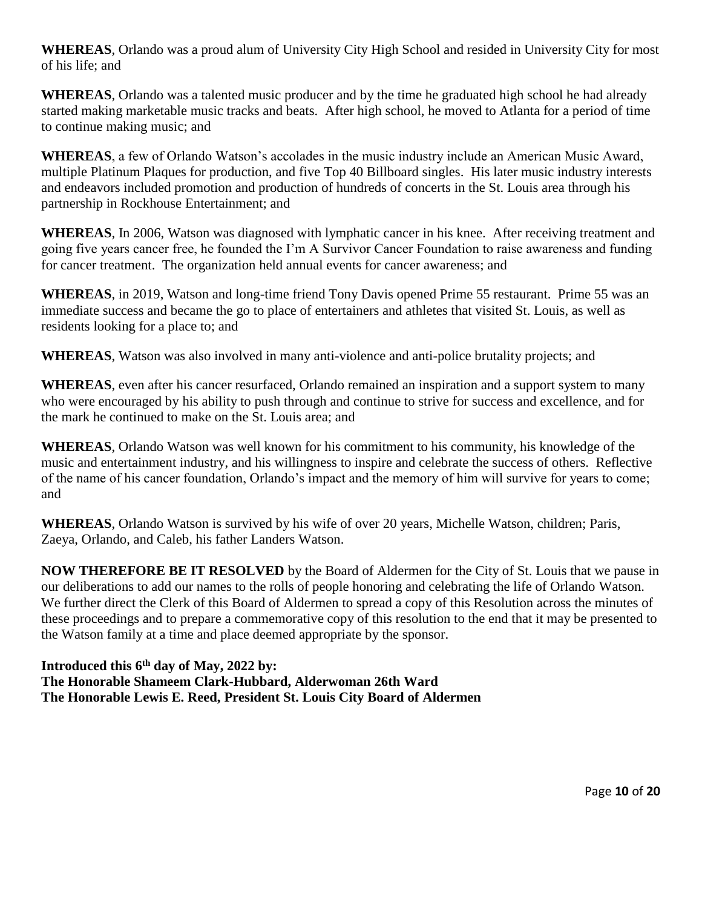**WHEREAS**, Orlando was a proud alum of University City High School and resided in University City for most of his life; and

**WHEREAS**, Orlando was a talented music producer and by the time he graduated high school he had already started making marketable music tracks and beats. After high school, he moved to Atlanta for a period of time to continue making music; and

**WHEREAS**, a few of Orlando Watson's accolades in the music industry include an American Music Award, multiple Platinum Plaques for production, and five Top 40 Billboard singles. His later music industry interests and endeavors included promotion and production of hundreds of concerts in the St. Louis area through his partnership in Rockhouse Entertainment; and

**WHEREAS**, In 2006, Watson was diagnosed with lymphatic cancer in his knee. After receiving treatment and going five years cancer free, he founded the I'm A Survivor Cancer Foundation to raise awareness and funding for cancer treatment. The organization held annual events for cancer awareness; and

**WHEREAS**, in 2019, Watson and long-time friend Tony Davis opened Prime 55 restaurant. Prime 55 was an immediate success and became the go to place of entertainers and athletes that visited St. Louis, as well as residents looking for a place to; and

**WHEREAS**, Watson was also involved in many anti-violence and anti-police brutality projects; and

**WHEREAS**, even after his cancer resurfaced, Orlando remained an inspiration and a support system to many who were encouraged by his ability to push through and continue to strive for success and excellence, and for the mark he continued to make on the St. Louis area; and

**WHEREAS**, Orlando Watson was well known for his commitment to his community, his knowledge of the music and entertainment industry, and his willingness to inspire and celebrate the success of others. Reflective of the name of his cancer foundation, Orlando's impact and the memory of him will survive for years to come; and

**WHEREAS**, Orlando Watson is survived by his wife of over 20 years, Michelle Watson, children; Paris, Zaeya, Orlando, and Caleb, his father Landers Watson.

**NOW THEREFORE BE IT RESOLVED** by the Board of Aldermen for the City of St. Louis that we pause in our deliberations to add our names to the rolls of people honoring and celebrating the life of Orlando Watson. We further direct the Clerk of this Board of Aldermen to spread a copy of this Resolution across the minutes of these proceedings and to prepare a commemorative copy of this resolution to the end that it may be presented to the Watson family at a time and place deemed appropriate by the sponsor.

**Introduced this 6th day of May, 2022 by: The Honorable Shameem Clark-Hubbard, Alderwoman 26th Ward The Honorable Lewis E. Reed, President St. Louis City Board of Aldermen**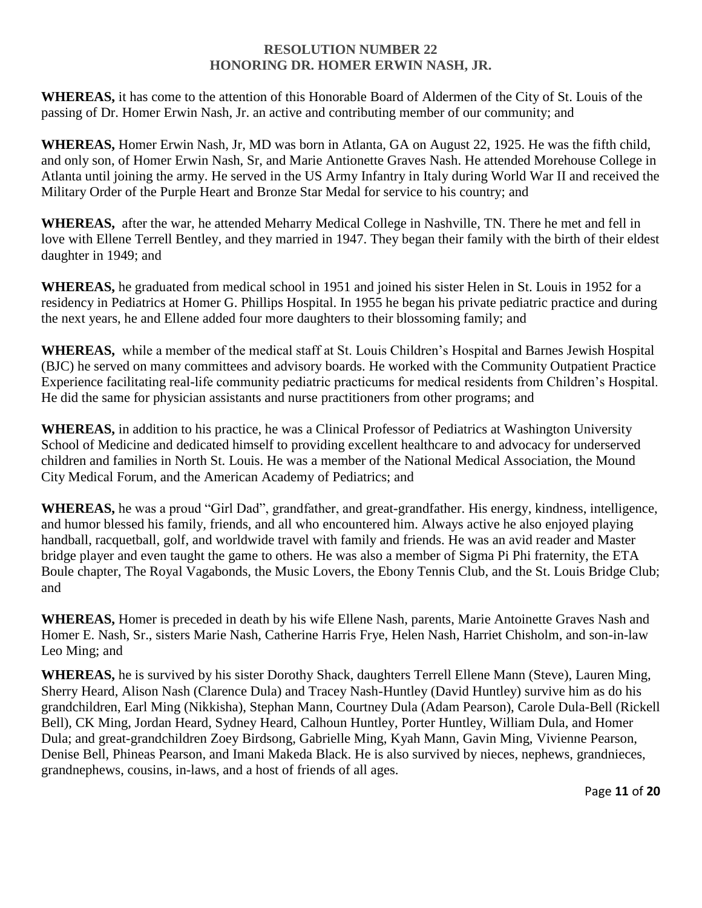## **RESOLUTION NUMBER 22 HONORING DR. HOMER ERWIN NASH, JR.**

**WHEREAS,** it has come to the attention of this Honorable Board of Aldermen of the City of St. Louis of the passing of Dr. Homer Erwin Nash, Jr. an active and contributing member of our community; and

**WHEREAS,** Homer Erwin Nash, Jr, MD was born in Atlanta, GA on August 22, 1925. He was the fifth child, and only son, of Homer Erwin Nash, Sr, and Marie Antionette Graves Nash. He attended Morehouse College in Atlanta until joining the army. He served in the US Army Infantry in Italy during World War II and received the Military Order of the Purple Heart and Bronze Star Medal for service to his country; and

**WHEREAS,** after the war, he attended Meharry Medical College in Nashville, TN. There he met and fell in love with Ellene Terrell Bentley, and they married in 1947. They began their family with the birth of their eldest daughter in 1949; and

**WHEREAS,** he graduated from medical school in 1951 and joined his sister Helen in St. Louis in 1952 for a residency in Pediatrics at Homer G. Phillips Hospital. In 1955 he began his private pediatric practice and during the next years, he and Ellene added four more daughters to their blossoming family; and

**WHEREAS,** while a member of the medical staff at St. Louis Children's Hospital and Barnes Jewish Hospital (BJC) he served on many committees and advisory boards. He worked with the Community Outpatient Practice Experience facilitating real-life community pediatric practicums for medical residents from Children's Hospital. He did the same for physician assistants and nurse practitioners from other programs; and

**WHEREAS,** in addition to his practice, he was a Clinical Professor of Pediatrics at Washington University School of Medicine and dedicated himself to providing excellent healthcare to and advocacy for underserved children and families in North St. Louis. He was a member of the National Medical Association, the Mound City Medical Forum, and the American Academy of Pediatrics; and

**WHEREAS,** he was a proud "Girl Dad", grandfather, and great-grandfather. His energy, kindness, intelligence, and humor blessed his family, friends, and all who encountered him. Always active he also enjoyed playing handball, racquetball, golf, and worldwide travel with family and friends. He was an avid reader and Master bridge player and even taught the game to others. He was also a member of Sigma Pi Phi fraternity, the ETA Boule chapter, The Royal Vagabonds, the Music Lovers, the Ebony Tennis Club, and the St. Louis Bridge Club; and

**WHEREAS,** Homer is preceded in death by his wife Ellene Nash, parents, Marie Antoinette Graves Nash and Homer E. Nash, Sr., sisters Marie Nash, Catherine Harris Frye, Helen Nash, Harriet Chisholm, and son-in-law Leo Ming; and

**WHEREAS,** he is survived by his sister Dorothy Shack, daughters Terrell Ellene Mann (Steve), Lauren Ming, Sherry Heard, Alison Nash (Clarence Dula) and Tracey Nash-Huntley (David Huntley) survive him as do his grandchildren, Earl Ming (Nikkisha), Stephan Mann, Courtney Dula (Adam Pearson), Carole Dula-Bell (Rickell Bell), CK Ming, Jordan Heard, Sydney Heard, Calhoun Huntley, Porter Huntley, William Dula, and Homer Dula; and great-grandchildren Zoey Birdsong, Gabrielle Ming, Kyah Mann, Gavin Ming, Vivienne Pearson, Denise Bell, Phineas Pearson, and Imani Makeda Black. He is also survived by nieces, nephews, grandnieces, grandnephews, cousins, in-laws, and a host of friends of all ages.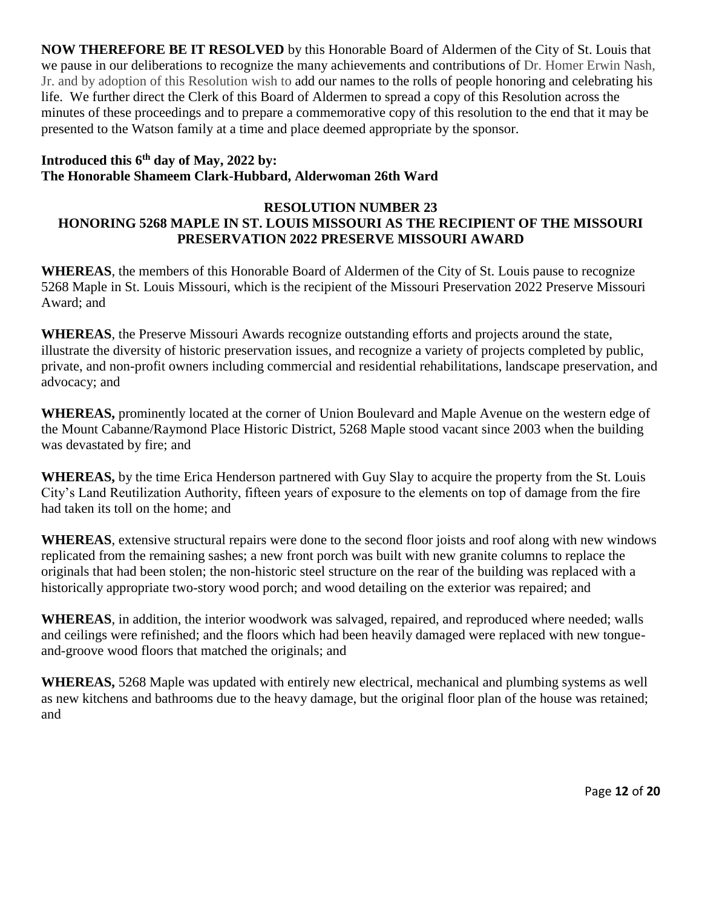**NOW THEREFORE BE IT RESOLVED** by this Honorable Board of Aldermen of the City of St. Louis that we pause in our deliberations to recognize the many achievements and contributions of Dr. Homer Erwin Nash, Jr. and by adoption of this Resolution wish to add our names to the rolls of people honoring and celebrating his life. We further direct the Clerk of this Board of Aldermen to spread a copy of this Resolution across the minutes of these proceedings and to prepare a commemorative copy of this resolution to the end that it may be presented to the Watson family at a time and place deemed appropriate by the sponsor.

# **Introduced this 6th day of May, 2022 by: The Honorable Shameem Clark-Hubbard, Alderwoman 26th Ward**

## **RESOLUTION NUMBER 23 HONORING 5268 MAPLE IN ST. LOUIS MISSOURI AS THE RECIPIENT OF THE MISSOURI PRESERVATION 2022 PRESERVE MISSOURI AWARD**

**WHEREAS**, the members of this Honorable Board of Aldermen of the City of St. Louis pause to recognize 5268 Maple in St. Louis Missouri, which is the recipient of the Missouri Preservation 2022 Preserve Missouri Award; and

**WHEREAS**, the Preserve Missouri Awards recognize outstanding efforts and projects around the state, illustrate the diversity of historic preservation issues, and recognize a variety of projects completed by public, private, and non-profit owners including commercial and residential rehabilitations, landscape preservation, and advocacy; and

**WHEREAS,** prominently located at the corner of Union Boulevard and Maple Avenue on the western edge of the Mount Cabanne/Raymond Place Historic District, 5268 Maple stood vacant since 2003 when the building was devastated by fire; and

**WHEREAS,** by the time Erica Henderson partnered with Guy Slay to acquire the property from the St. Louis City's Land Reutilization Authority, fifteen years of exposure to the elements on top of damage from the fire had taken its toll on the home; and

**WHEREAS**, extensive structural repairs were done to the second floor joists and roof along with new windows replicated from the remaining sashes; a new front porch was built with new granite columns to replace the originals that had been stolen; the non-historic steel structure on the rear of the building was replaced with a historically appropriate two-story wood porch; and wood detailing on the exterior was repaired; and

**WHEREAS**, in addition, the interior woodwork was salvaged, repaired, and reproduced where needed; walls and ceilings were refinished; and the floors which had been heavily damaged were replaced with new tongueand-groove wood floors that matched the originals; and

**WHEREAS,** 5268 Maple was updated with entirely new electrical, mechanical and plumbing systems as well as new kitchens and bathrooms due to the heavy damage, but the original floor plan of the house was retained; and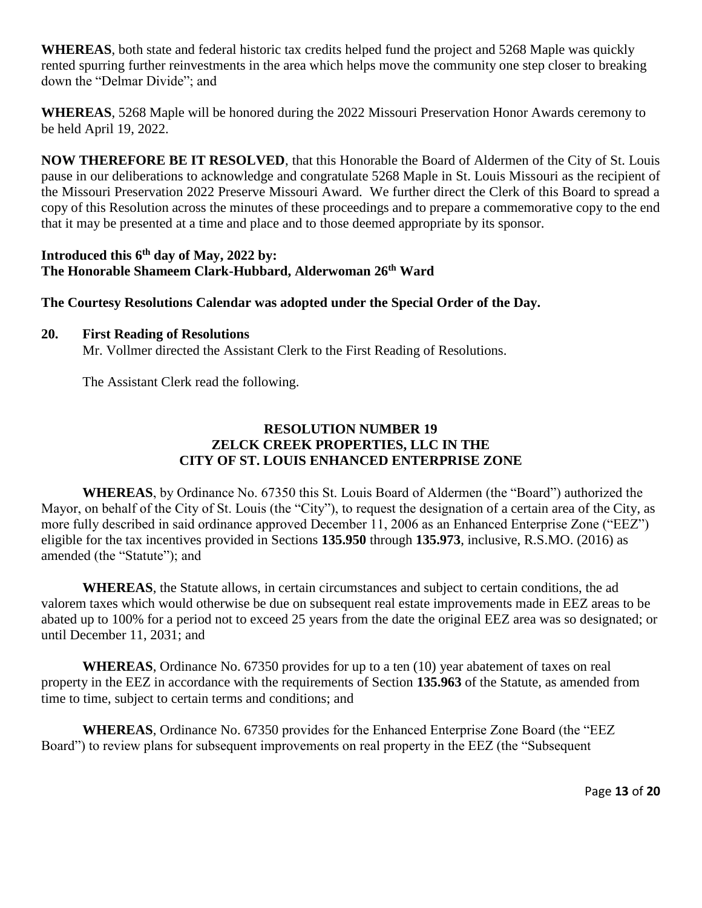**WHEREAS**, both state and federal historic tax credits helped fund the project and 5268 Maple was quickly rented spurring further reinvestments in the area which helps move the community one step closer to breaking down the "Delmar Divide"; and

**WHEREAS**, 5268 Maple will be honored during the 2022 Missouri Preservation Honor Awards ceremony to be held April 19, 2022.

**NOW THEREFORE BE IT RESOLVED**, that this Honorable the Board of Aldermen of the City of St. Louis pause in our deliberations to acknowledge and congratulate 5268 Maple in St. Louis Missouri as the recipient of the Missouri Preservation 2022 Preserve Missouri Award. We further direct the Clerk of this Board to spread a copy of this Resolution across the minutes of these proceedings and to prepare a commemorative copy to the end that it may be presented at a time and place and to those deemed appropriate by its sponsor.

## **Introduced this 6th day of May, 2022 by: The Honorable Shameem Clark-Hubbard, Alderwoman 26th Ward**

## **The Courtesy Resolutions Calendar was adopted under the Special Order of the Day.**

## **20. First Reading of Resolutions**

Mr. Vollmer directed the Assistant Clerk to the First Reading of Resolutions.

The Assistant Clerk read the following.

# **RESOLUTION NUMBER 19 ZELCK CREEK PROPERTIES, LLC IN THE CITY OF ST. LOUIS ENHANCED ENTERPRISE ZONE**

**WHEREAS**, by Ordinance No. 67350 this St. Louis Board of Aldermen (the "Board") authorized the Mayor, on behalf of the City of St. Louis (the "City"), to request the designation of a certain area of the City, as more fully described in said ordinance approved December 11, 2006 as an Enhanced Enterprise Zone ("EEZ") eligible for the tax incentives provided in Sections **135.950** through **135.973**, inclusive, R.S.MO. (2016) as amended (the "Statute"); and

**WHEREAS**, the Statute allows, in certain circumstances and subject to certain conditions, the ad valorem taxes which would otherwise be due on subsequent real estate improvements made in EEZ areas to be abated up to 100% for a period not to exceed 25 years from the date the original EEZ area was so designated; or until December 11, 2031; and

**WHEREAS**, Ordinance No. 67350 provides for up to a ten (10) year abatement of taxes on real property in the EEZ in accordance with the requirements of Section **135.963** of the Statute, as amended from time to time, subject to certain terms and conditions; and

**WHEREAS**, Ordinance No. 67350 provides for the Enhanced Enterprise Zone Board (the "EEZ Board") to review plans for subsequent improvements on real property in the EEZ (the "Subsequent

Page **13** of **20**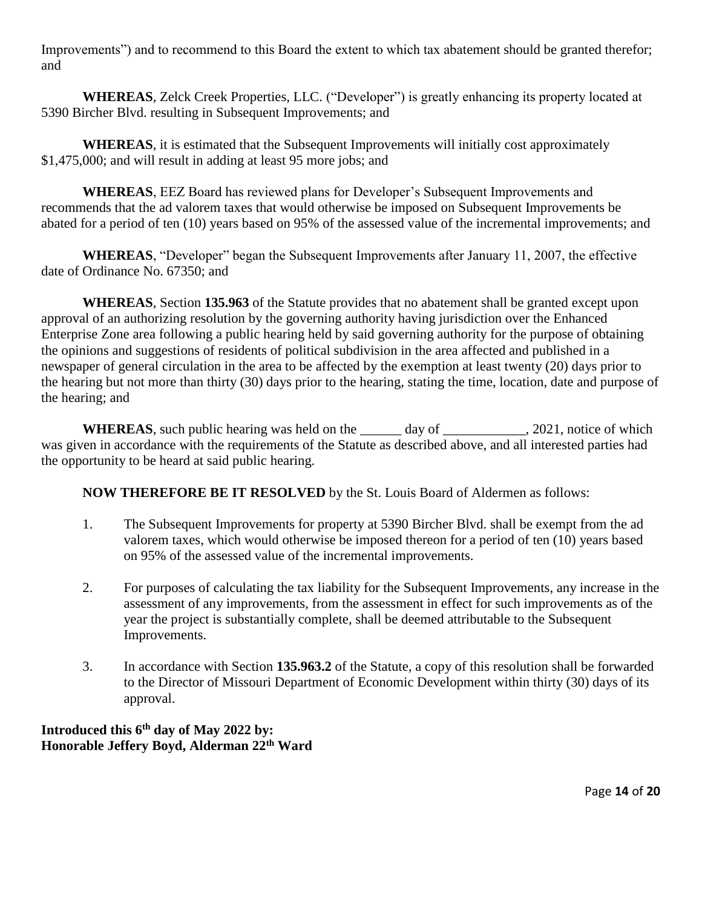Improvements") and to recommend to this Board the extent to which tax abatement should be granted therefor; and

**WHEREAS**, Zelck Creek Properties, LLC. ("Developer") is greatly enhancing its property located at 5390 Bircher Blvd. resulting in Subsequent Improvements; and

**WHEREAS**, it is estimated that the Subsequent Improvements will initially cost approximately \$1,475,000; and will result in adding at least 95 more jobs; and

**WHEREAS**, EEZ Board has reviewed plans for Developer's Subsequent Improvements and recommends that the ad valorem taxes that would otherwise be imposed on Subsequent Improvements be abated for a period of ten (10) years based on 95% of the assessed value of the incremental improvements; and

**WHEREAS**, "Developer" began the Subsequent Improvements after January 11, 2007, the effective date of Ordinance No. 67350; and

**WHEREAS**, Section **135.963** of the Statute provides that no abatement shall be granted except upon approval of an authorizing resolution by the governing authority having jurisdiction over the Enhanced Enterprise Zone area following a public hearing held by said governing authority for the purpose of obtaining the opinions and suggestions of residents of political subdivision in the area affected and published in a newspaper of general circulation in the area to be affected by the exemption at least twenty (20) days prior to the hearing but not more than thirty (30) days prior to the hearing, stating the time, location, date and purpose of the hearing; and

**WHEREAS**, such public hearing was held on the day of \_\_\_\_\_\_\_\_\_\_\_\_, 2021, notice of which was given in accordance with the requirements of the Statute as described above, and all interested parties had the opportunity to be heard at said public hearing.

**NOW THEREFORE BE IT RESOLVED** by the St. Louis Board of Aldermen as follows:

- 1. The Subsequent Improvements for property at 5390 Bircher Blvd. shall be exempt from the ad valorem taxes, which would otherwise be imposed thereon for a period of ten (10) years based on 95% of the assessed value of the incremental improvements.
- 2. For purposes of calculating the tax liability for the Subsequent Improvements, any increase in the assessment of any improvements, from the assessment in effect for such improvements as of the year the project is substantially complete, shall be deemed attributable to the Subsequent Improvements.
- 3. In accordance with Section **135.963.2** of the Statute, a copy of this resolution shall be forwarded to the Director of Missouri Department of Economic Development within thirty (30) days of its approval.

**Introduced this 6th day of May 2022 by: Honorable Jeffery Boyd, Alderman 22th Ward**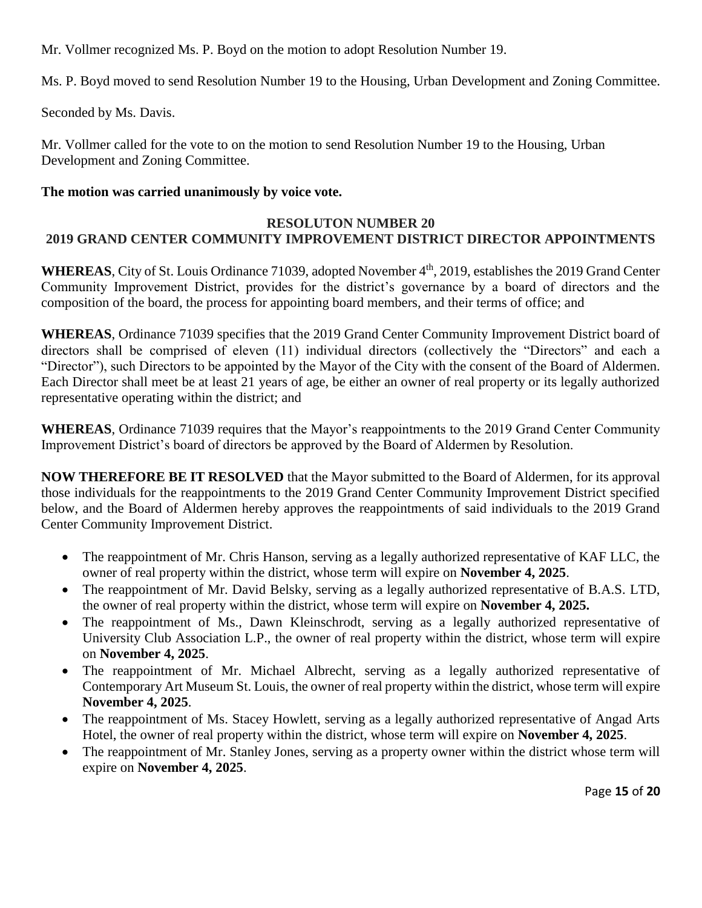Mr. Vollmer recognized Ms. P. Boyd on the motion to adopt Resolution Number 19.

Ms. P. Boyd moved to send Resolution Number 19 to the Housing, Urban Development and Zoning Committee.

Seconded by Ms. Davis.

Mr. Vollmer called for the vote to on the motion to send Resolution Number 19 to the Housing, Urban Development and Zoning Committee.

# **The motion was carried unanimously by voice vote.**

## **RESOLUTON NUMBER 20 2019 GRAND CENTER COMMUNITY IMPROVEMENT DISTRICT DIRECTOR APPOINTMENTS**

WHEREAS, City of St. Louis Ordinance 71039, adopted November 4<sup>th</sup>, 2019, establishes the 2019 Grand Center Community Improvement District, provides for the district's governance by a board of directors and the composition of the board, the process for appointing board members, and their terms of office; and

**WHEREAS**, Ordinance 71039 specifies that the 2019 Grand Center Community Improvement District board of directors shall be comprised of eleven (11) individual directors (collectively the "Directors" and each a "Director"), such Directors to be appointed by the Mayor of the City with the consent of the Board of Aldermen. Each Director shall meet be at least 21 years of age, be either an owner of real property or its legally authorized representative operating within the district; and

**WHEREAS**, Ordinance 71039 requires that the Mayor's reappointments to the 2019 Grand Center Community Improvement District's board of directors be approved by the Board of Aldermen by Resolution.

**NOW THEREFORE BE IT RESOLVED** that the Mayor submitted to the Board of Aldermen, for its approval those individuals for the reappointments to the 2019 Grand Center Community Improvement District specified below, and the Board of Aldermen hereby approves the reappointments of said individuals to the 2019 Grand Center Community Improvement District.

- The reappointment of Mr. Chris Hanson, serving as a legally authorized representative of KAF LLC, the owner of real property within the district, whose term will expire on **November 4, 2025**.
- The reappointment of Mr. David Belsky, serving as a legally authorized representative of B.A.S. LTD, the owner of real property within the district, whose term will expire on **November 4, 2025.**
- The reappointment of Ms., Dawn Kleinschrodt, serving as a legally authorized representative of University Club Association L.P., the owner of real property within the district, whose term will expire on **November 4, 2025**.
- The reappointment of Mr. Michael Albrecht, serving as a legally authorized representative of Contemporary Art Museum St. Louis, the owner of real property within the district, whose term will expire **November 4, 2025**.
- The reappointment of Ms. Stacey Howlett, serving as a legally authorized representative of Angad Arts Hotel, the owner of real property within the district, whose term will expire on **November 4, 2025**.
- The reappointment of Mr. Stanley Jones, serving as a property owner within the district whose term will expire on **November 4, 2025**.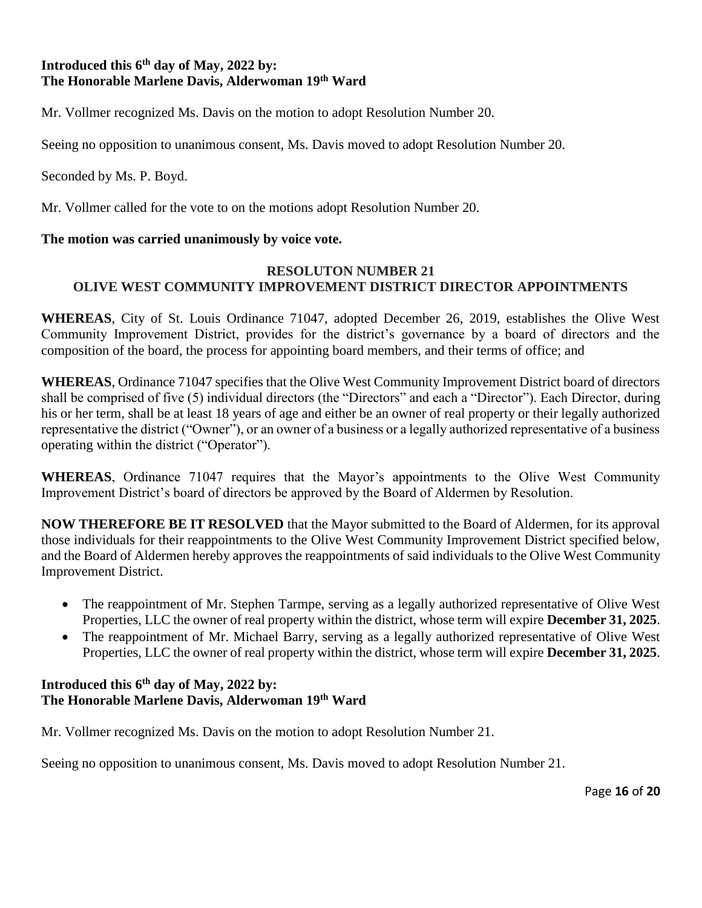## **Introduced this 6th day of May, 2022 by: The Honorable Marlene Davis, Alderwoman 19th Ward**

Mr. Vollmer recognized Ms. Davis on the motion to adopt Resolution Number 20.

Seeing no opposition to unanimous consent, Ms. Davis moved to adopt Resolution Number 20.

Seconded by Ms. P. Boyd.

Mr. Vollmer called for the vote to on the motions adopt Resolution Number 20.

## **The motion was carried unanimously by voice vote.**

## **RESOLUTON NUMBER 21 OLIVE WEST COMMUNITY IMPROVEMENT DISTRICT DIRECTOR APPOINTMENTS**

**WHEREAS**, City of St. Louis Ordinance 71047, adopted December 26, 2019, establishes the Olive West Community Improvement District, provides for the district's governance by a board of directors and the composition of the board, the process for appointing board members, and their terms of office; and

**WHEREAS**, Ordinance 71047 specifies that the Olive West Community Improvement District board of directors shall be comprised of five (5) individual directors (the "Directors" and each a "Director"). Each Director, during his or her term, shall be at least 18 years of age and either be an owner of real property or their legally authorized representative the district ("Owner"), or an owner of a business or a legally authorized representative of a business operating within the district ("Operator").

**WHEREAS**, Ordinance 71047 requires that the Mayor's appointments to the Olive West Community Improvement District's board of directors be approved by the Board of Aldermen by Resolution.

**NOW THEREFORE BE IT RESOLVED** that the Mayor submitted to the Board of Aldermen, for its approval those individuals for their reappointments to the Olive West Community Improvement District specified below, and the Board of Aldermen hereby approves the reappointments of said individuals to the Olive West Community Improvement District.

- The reappointment of Mr. Stephen Tarmpe, serving as a legally authorized representative of Olive West Properties, LLC the owner of real property within the district, whose term will expire **December 31, 2025**.
- The reappointment of Mr. Michael Barry, serving as a legally authorized representative of Olive West Properties, LLC the owner of real property within the district, whose term will expire **December 31, 2025**.

## **Introduced this 6th day of May, 2022 by: The Honorable Marlene Davis, Alderwoman 19th Ward**

Mr. Vollmer recognized Ms. Davis on the motion to adopt Resolution Number 21.

Seeing no opposition to unanimous consent, Ms. Davis moved to adopt Resolution Number 21.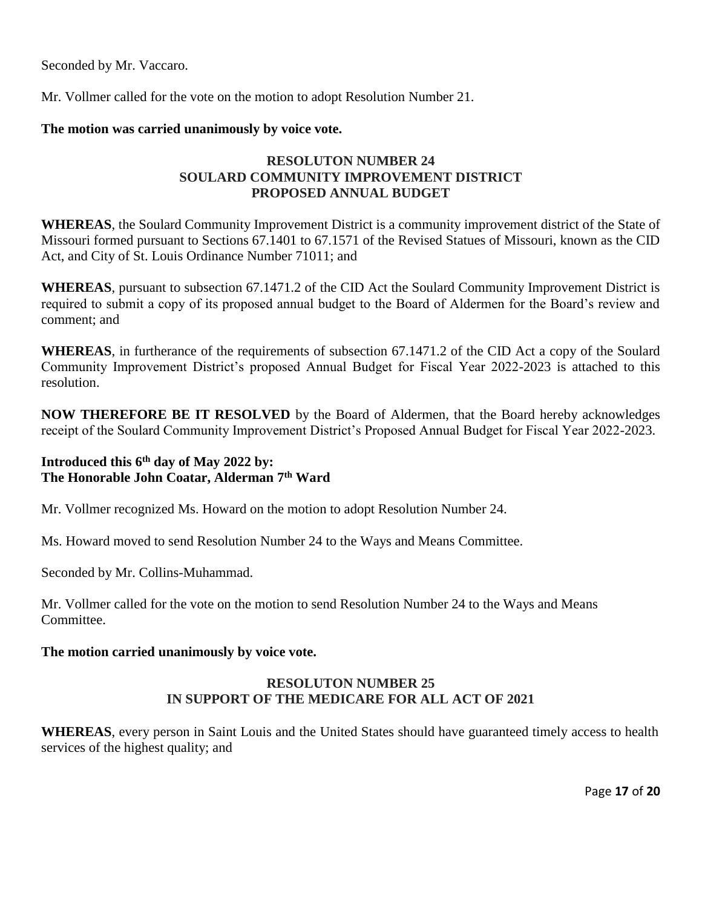Seconded by Mr. Vaccaro.

Mr. Vollmer called for the vote on the motion to adopt Resolution Number 21.

#### **The motion was carried unanimously by voice vote.**

## **RESOLUTON NUMBER 24 SOULARD COMMUNITY IMPROVEMENT DISTRICT PROPOSED ANNUAL BUDGET**

**WHEREAS**, the Soulard Community Improvement District is a community improvement district of the State of Missouri formed pursuant to Sections 67.1401 to 67.1571 of the Revised Statues of Missouri, known as the CID Act, and City of St. Louis Ordinance Number 71011; and

**WHEREAS**, pursuant to subsection 67.1471.2 of the CID Act the Soulard Community Improvement District is required to submit a copy of its proposed annual budget to the Board of Aldermen for the Board's review and comment; and

**WHEREAS**, in furtherance of the requirements of subsection 67.1471.2 of the CID Act a copy of the Soulard Community Improvement District's proposed Annual Budget for Fiscal Year 2022-2023 is attached to this resolution.

**NOW THEREFORE BE IT RESOLVED** by the Board of Aldermen, that the Board hereby acknowledges receipt of the Soulard Community Improvement District's Proposed Annual Budget for Fiscal Year 2022-2023.

## **Introduced this 6th day of May 2022 by: The Honorable John Coatar, Alderman 7th Ward**

Mr. Vollmer recognized Ms. Howard on the motion to adopt Resolution Number 24.

Ms. Howard moved to send Resolution Number 24 to the Ways and Means Committee.

Seconded by Mr. Collins-Muhammad.

Mr. Vollmer called for the vote on the motion to send Resolution Number 24 to the Ways and Means Committee.

### **The motion carried unanimously by voice vote.**

## **RESOLUTON NUMBER 25 IN SUPPORT OF THE MEDICARE FOR ALL ACT OF 2021**

**WHEREAS**, every person in Saint Louis and the United States should have guaranteed timely access to health services of the highest quality; and

Page **17** of **20**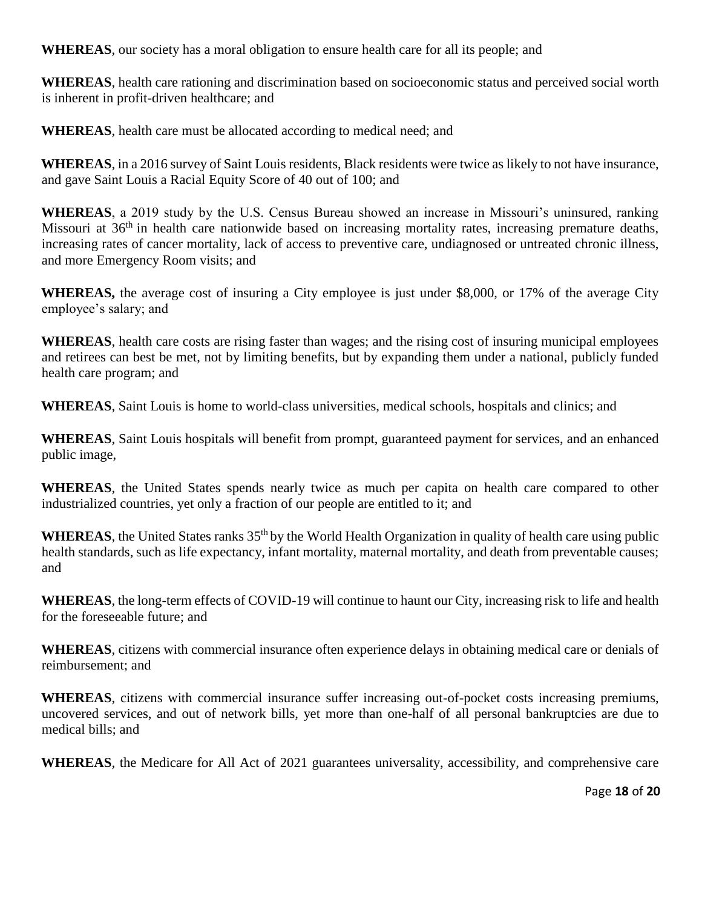**WHEREAS**, our society has a moral obligation to ensure health care for all its people; and

**WHEREAS**, health care rationing and discrimination based on socioeconomic status and perceived social worth is inherent in profit-driven healthcare; and

**WHEREAS**, health care must be allocated according to medical need; and

**WHEREAS**, in a 2016 survey of Saint Louis residents, Black residents were twice as likely to not have insurance, and gave Saint Louis a Racial Equity Score of 40 out of 100; and

**WHEREAS**, a 2019 study by the U.S. Census Bureau showed an increase in Missouri's uninsured, ranking Missouri at 36<sup>th</sup> in health care nationwide based on increasing mortality rates, increasing premature deaths, increasing rates of cancer mortality, lack of access to preventive care, undiagnosed or untreated chronic illness, and more Emergency Room visits; and

**WHEREAS,** the average cost of insuring a City employee is just under \$8,000, or 17% of the average City employee's salary; and

**WHEREAS**, health care costs are rising faster than wages; and the rising cost of insuring municipal employees and retirees can best be met, not by limiting benefits, but by expanding them under a national, publicly funded health care program; and

**WHEREAS**, Saint Louis is home to world-class universities, medical schools, hospitals and clinics; and

**WHEREAS**, Saint Louis hospitals will benefit from prompt, guaranteed payment for services, and an enhanced public image,

**WHEREAS**, the United States spends nearly twice as much per capita on health care compared to other industrialized countries, yet only a fraction of our people are entitled to it; and

**WHEREAS**, the United States ranks 35<sup>th</sup> by the World Health Organization in quality of health care using public health standards, such as life expectancy, infant mortality, maternal mortality, and death from preventable causes; and

**WHEREAS**, the long-term effects of COVID-19 will continue to haunt our City, increasing risk to life and health for the foreseeable future; and

**WHEREAS**, citizens with commercial insurance often experience delays in obtaining medical care or denials of reimbursement; and

**WHEREAS**, citizens with commercial insurance suffer increasing out-of-pocket costs increasing premiums, uncovered services, and out of network bills, yet more than one-half of all personal bankruptcies are due to medical bills; and

**WHEREAS**, the Medicare for All Act of 2021 guarantees universality, accessibility, and comprehensive care

Page **18** of **20**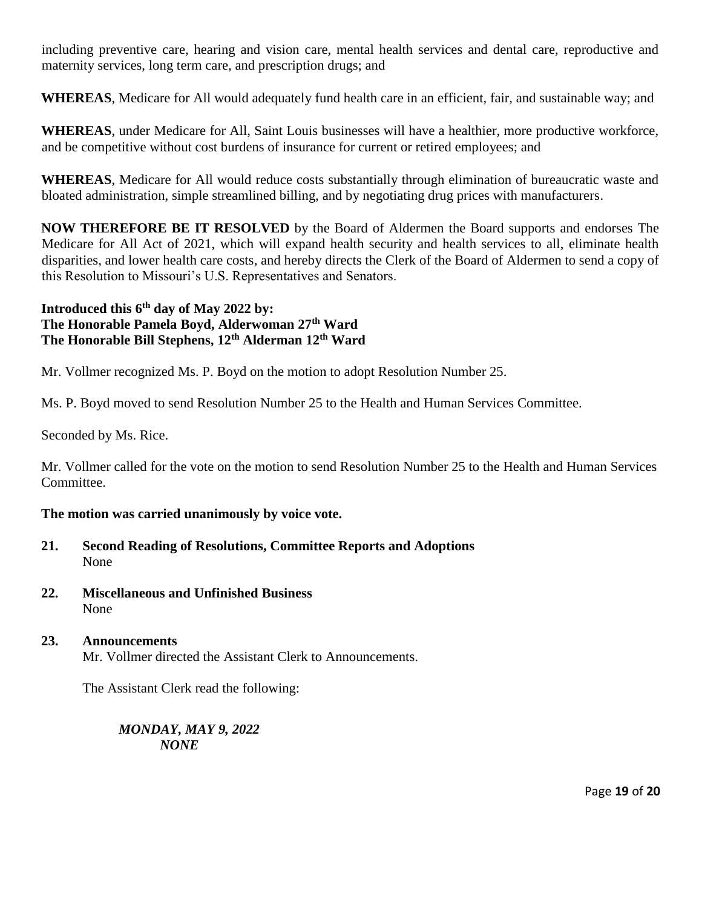including preventive care, hearing and vision care, mental health services and dental care, reproductive and maternity services, long term care, and prescription drugs; and

**WHEREAS**, Medicare for All would adequately fund health care in an efficient, fair, and sustainable way; and

**WHEREAS**, under Medicare for All, Saint Louis businesses will have a healthier, more productive workforce, and be competitive without cost burdens of insurance for current or retired employees; and

**WHEREAS**, Medicare for All would reduce costs substantially through elimination of bureaucratic waste and bloated administration, simple streamlined billing, and by negotiating drug prices with manufacturers.

**NOW THEREFORE BE IT RESOLVED** by the Board of Aldermen the Board supports and endorses The Medicare for All Act of 2021, which will expand health security and health services to all, eliminate health disparities, and lower health care costs, and hereby directs the Clerk of the Board of Aldermen to send a copy of this Resolution to Missouri's U.S. Representatives and Senators.

# **Introduced this 6th day of May 2022 by: The Honorable Pamela Boyd, Alderwoman 27th Ward The Honorable Bill Stephens, 12th Alderman 12th Ward**

Mr. Vollmer recognized Ms. P. Boyd on the motion to adopt Resolution Number 25.

Ms. P. Boyd moved to send Resolution Number 25 to the Health and Human Services Committee.

Seconded by Ms. Rice.

Mr. Vollmer called for the vote on the motion to send Resolution Number 25 to the Health and Human Services Committee.

## **The motion was carried unanimously by voice vote.**

- **21. Second Reading of Resolutions, Committee Reports and Adoptions** None
- **22. Miscellaneous and Unfinished Business**  None
- **23. Announcements**  Mr. Vollmer directed the Assistant Clerk to Announcements.

The Assistant Clerk read the following:

*MONDAY, MAY 9, 2022 NONE*